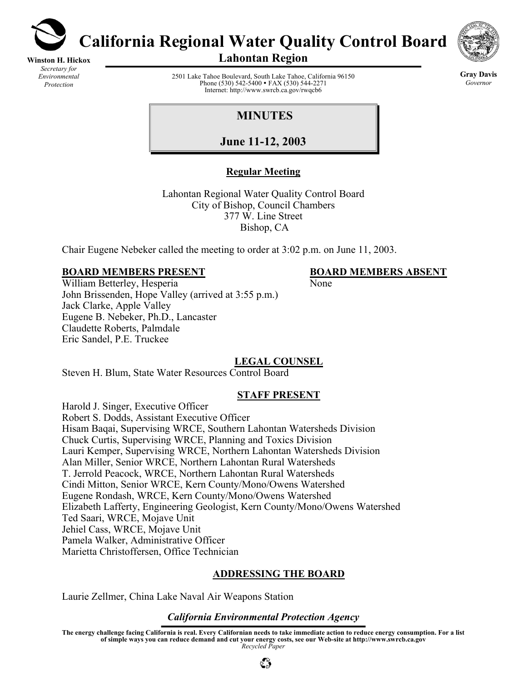

**Winston H. Hickox** *Secretary for Environmental Protection* 

**California Regional Water Quality Control Board** 



**Lahontan Region** 

2501 Lake Tahoe Boulevard, South Lake Tahoe, California 96150 Phone (530) 542-5400 • FAX (530) 544-2271 Internet: http://www.swrcb.ca.gov/rwqcb6

**Gray Davis** *Governor* 

# **MINUTES**

**June 11-12, 2003**

## **Regular Meeting**

Lahontan Regional Water Quality Control Board City of Bishop, Council Chambers 377 W. Line Street Bishop, CA

Chair Eugene Nebeker called the meeting to order at 3:02 p.m. on June 11, 2003.

## **BOARD MEMBERS PRESENT BOARD MEMBERS ABSENT**

William Betterley, Hesperia None John Brissenden, Hope Valley (arrived at 3:55 p.m.) Jack Clarke, Apple Valley Eugene B. Nebeker, Ph.D., Lancaster Claudette Roberts, Palmdale Eric Sandel, P.E. Truckee

## **LEGAL COUNSEL**

Steven H. Blum, State Water Resources Control Board

## **STAFF PRESENT**

Harold J. Singer, Executive Officer Robert S. Dodds, Assistant Executive Officer Hisam Baqai, Supervising WRCE, Southern Lahontan Watersheds Division Chuck Curtis, Supervising WRCE, Planning and Toxics Division Lauri Kemper, Supervising WRCE, Northern Lahontan Watersheds Division Alan Miller, Senior WRCE, Northern Lahontan Rural Watersheds T. Jerrold Peacock, WRCE, Northern Lahontan Rural Watersheds Cindi Mitton, Senior WRCE, Kern County/Mono/Owens Watershed Eugene Rondash, WRCE, Kern County/Mono/Owens Watershed Elizabeth Lafferty, Engineering Geologist, Kern County/Mono/Owens Watershed Ted Saari, WRCE, Mojave Unit Jehiel Cass, WRCE, Mojave Unit Pamela Walker, Administrative Officer Marietta Christoffersen, Office Technician

## **ADDRESSING THE BOARD**

Laurie Zellmer, China Lake Naval Air Weapons Station

### *California Environmental Protection Agency*

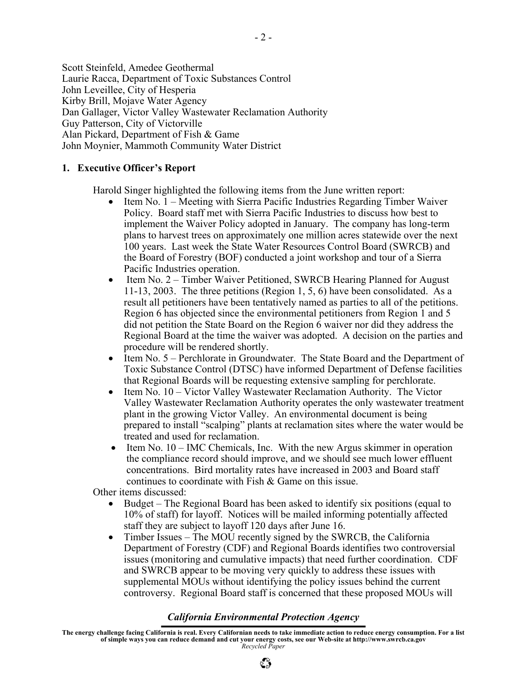Scott Steinfeld, Amedee Geothermal Laurie Racca, Department of Toxic Substances Control John Leveillee, City of Hesperia Kirby Brill, Mojave Water Agency Dan Gallager, Victor Valley Wastewater Reclamation Authority Guy Patterson, City of Victorville Alan Pickard, Department of Fish & Game John Moynier, Mammoth Community Water District

#### **1. Executive Officer's Report**

Harold Singer highlighted the following items from the June written report:

- Item No. 1 Meeting with Sierra Pacific Industries Regarding Timber Waiver Policy. Board staff met with Sierra Pacific Industries to discuss how best to implement the Waiver Policy adopted in January. The company has long-term plans to harvest trees on approximately one million acres statewide over the next 100 years. Last week the State Water Resources Control Board (SWRCB) and the Board of Forestry (BOF) conducted a joint workshop and tour of a Sierra Pacific Industries operation.
- Item No. 2 Timber Waiver Petitioned, SWRCB Hearing Planned for August 11-13, 2003. The three petitions (Region 1, 5, 6) have been consolidated. As a result all petitioners have been tentatively named as parties to all of the petitions. Region 6 has objected since the environmental petitioners from Region 1 and 5 did not petition the State Board on the Region 6 waiver nor did they address the Regional Board at the time the waiver was adopted. A decision on the parties and procedure will be rendered shortly.
- Item No. 5 Perchlorate in Groundwater. The State Board and the Department of Toxic Substance Control (DTSC) have informed Department of Defense facilities that Regional Boards will be requesting extensive sampling for perchlorate.
- Item No. 10 Victor Valley Wastewater Reclamation Authority. The Victor Valley Wastewater Reclamation Authority operates the only wastewater treatment plant in the growing Victor Valley. An environmental document is being prepared to install "scalping" plants at reclamation sites where the water would be treated and used for reclamation.
- Item No. 10 IMC Chemicals, Inc. With the new Argus skimmer in operation the compliance record should improve, and we should see much lower effluent concentrations. Bird mortality rates have increased in 2003 and Board staff continues to coordinate with Fish & Game on this issue.

Other items discussed:

- Budget The Regional Board has been asked to identify six positions (equal to 10% of staff) for layoff. Notices will be mailed informing potentially affected staff they are subject to layoff 120 days after June 16.
- Timber Issues The MOU recently signed by the SWRCB, the California Department of Forestry (CDF) and Regional Boards identifies two controversial issues (monitoring and cumulative impacts) that need further coordination. CDF and SWRCB appear to be moving very quickly to address these issues with supplemental MOUs without identifying the policy issues behind the current controversy. Regional Board staff is concerned that these proposed MOUs will

#### *California Environmental Protection Agency*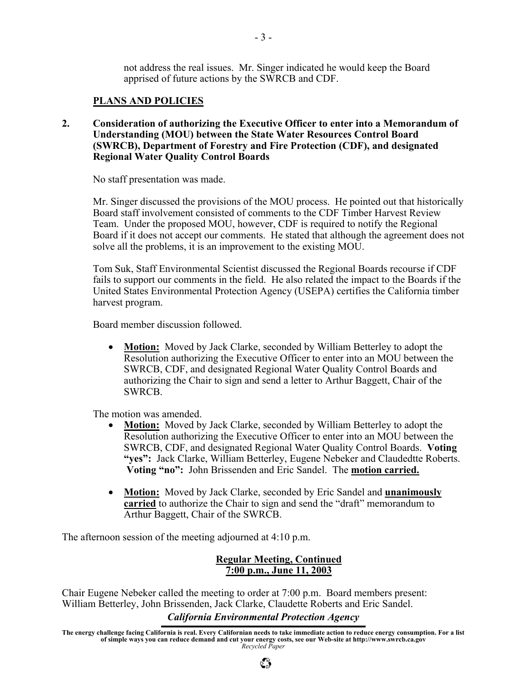not address the real issues. Mr. Singer indicated he would keep the Board apprised of future actions by the SWRCB and CDF.

#### **PLANS AND POLICIES**

**2. Consideration of authorizing the Executive Officer to enter into a Memorandum of Understanding (MOU) between the State Water Resources Control Board (SWRCB), Department of Forestry and Fire Protection (CDF), and designated Regional Water Quality Control Boards** 

No staff presentation was made.

Mr. Singer discussed the provisions of the MOU process. He pointed out that historically Board staff involvement consisted of comments to the CDF Timber Harvest Review Team. Under the proposed MOU, however, CDF is required to notify the Regional Board if it does not accept our comments. He stated that although the agreement does not solve all the problems, it is an improvement to the existing MOU.

Tom Suk, Staff Environmental Scientist discussed the Regional Boards recourse if CDF fails to support our comments in the field. He also related the impact to the Boards if the United States Environmental Protection Agency (USEPA) certifies the California timber harvest program.

Board member discussion followed.

• **Motion:** Moved by Jack Clarke, seconded by William Betterley to adopt the Resolution authorizing the Executive Officer to enter into an MOU between the SWRCB, CDF, and designated Regional Water Quality Control Boards and authorizing the Chair to sign and send a letter to Arthur Baggett, Chair of the SWRCB.

The motion was amended.

- **Motion:** Moved by Jack Clarke, seconded by William Betterley to adopt the Resolution authorizing the Executive Officer to enter into an MOU between the SWRCB, CDF, and designated Regional Water Quality Control Boards. **Voting "yes":** Jack Clarke, William Betterley, Eugene Nebeker and Claudedtte Roberts. **Voting "no":** John Brissenden and Eric Sandel. The **motion carried.**
- **Motion:** Moved by Jack Clarke, seconded by Eric Sandel and **unanimously carried** to authorize the Chair to sign and send the "draft" memorandum to Arthur Baggett, Chair of the SWRCB.

The afternoon session of the meeting adjourned at 4:10 p.m.

#### **Regular Meeting, Continued 7:00 p.m., June 11, 2003**

Chair Eugene Nebeker called the meeting to order at 7:00 p.m. Board members present: William Betterley, John Brissenden, Jack Clarke, Claudette Roberts and Eric Sandel.

#### *California Environmental Protection Agency*

**The energy challenge facing California is real. Every Californian needs to take immediate action to reduce energy consumption. For a list of simple ways you can reduce demand and cut your energy costs, see our Web-site at http://www.swrcb.ca.gov**  *Recycled Paper*

 $\mathbb{C}^{\infty}_{\mathcal{P}}$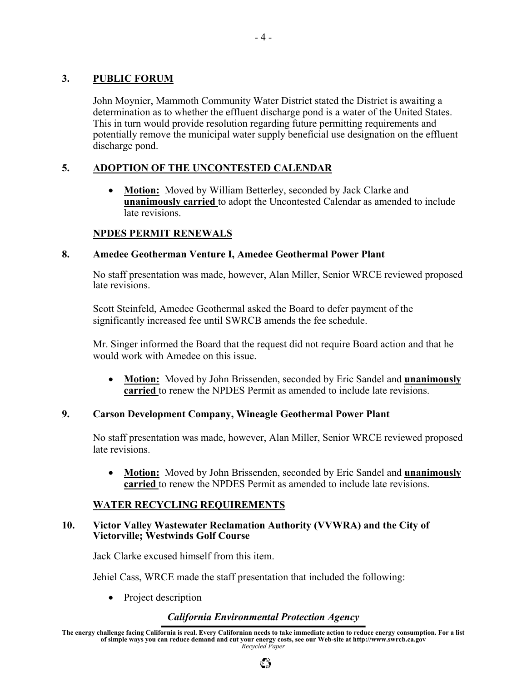### **3. PUBLIC FORUM**

John Moynier, Mammoth Community Water District stated the District is awaiting a determination as to whether the effluent discharge pond is a water of the United States. This in turn would provide resolution regarding future permitting requirements and potentially remove the municipal water supply beneficial use designation on the effluent discharge pond.

### **5. ADOPTION OF THE UNCONTESTED CALENDAR**

• **Motion:** Moved by William Betterley, seconded by Jack Clarke and **unanimously carried** to adopt the Uncontested Calendar as amended to include late revisions.

#### **NPDES PERMIT RENEWALS**

#### **8. Amedee Geotherman Venture I, Amedee Geothermal Power Plant**

No staff presentation was made, however, Alan Miller, Senior WRCE reviewed proposed late revisions.

Scott Steinfeld, Amedee Geothermal asked the Board to defer payment of the significantly increased fee until SWRCB amends the fee schedule.

Mr. Singer informed the Board that the request did not require Board action and that he would work with Amedee on this issue.

• **Motion:** Moved by John Brissenden, seconded by Eric Sandel and **unanimously carried** to renew the NPDES Permit as amended to include late revisions.

### **9. Carson Development Company, Wineagle Geothermal Power Plant**

No staff presentation was made, however, Alan Miller, Senior WRCE reviewed proposed late revisions.

• **Motion:** Moved by John Brissenden, seconded by Eric Sandel and **unanimously carried** to renew the NPDES Permit as amended to include late revisions.

### **WATER RECYCLING REQUIREMENTS**

#### **10. Victor Valley Wastewater Reclamation Authority (VVWRA) and the City of Victorville; Westwinds Golf Course**

Jack Clarke excused himself from this item.

Jehiel Cass, WRCE made the staff presentation that included the following:

• Project description

### *California Environmental Protection Agency*

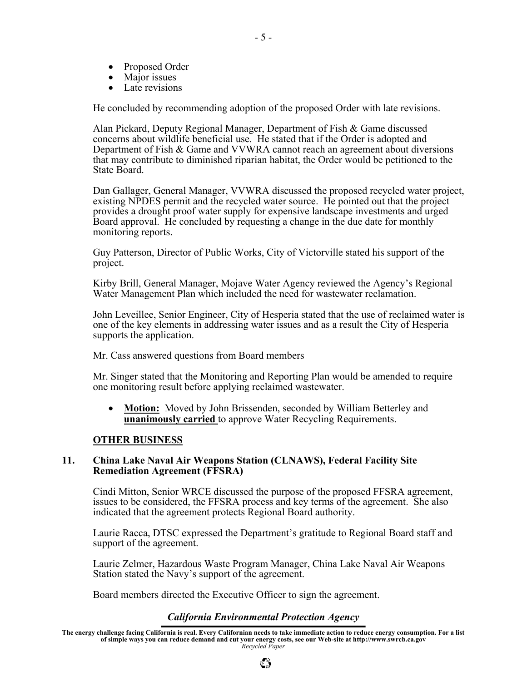- Proposed Order
- Major issues
- Late revisions

He concluded by recommending adoption of the proposed Order with late revisions.

Alan Pickard, Deputy Regional Manager, Department of Fish & Game discussed concerns about wildlife beneficial use. He stated that if the Order is adopted and Department of Fish & Game and VVWRA cannot reach an agreement about diversions that may contribute to diminished riparian habitat, the Order would be petitioned to the State Board.

Dan Gallager, General Manager, VVWRA discussed the proposed recycled water project, existing NPDES permit and the recycled water source. He pointed out that the project provides a drought proof water supply for expensive landscape investments and urged Board approval. He concluded by requesting a change in the due date for monthly monitoring reports.

Guy Patterson, Director of Public Works, City of Victorville stated his support of the project.

Kirby Brill, General Manager, Mojave Water Agency reviewed the Agency's Regional Water Management Plan which included the need for wastewater reclamation.

John Leveillee, Senior Engineer, City of Hesperia stated that the use of reclaimed water is one of the key elements in addressing water issues and as a result the City of Hesperia supports the application.

Mr. Cass answered questions from Board members

Mr. Singer stated that the Monitoring and Reporting Plan would be amended to require one monitoring result before applying reclaimed wastewater.

• **Motion:** Moved by John Brissenden, seconded by William Betterley and **unanimously carried** to approve Water Recycling Requirements.

#### **OTHER BUSINESS**

#### **11. China Lake Naval Air Weapons Station (CLNAWS), Federal Facility Site Remediation Agreement (FFSRA)**

Cindi Mitton, Senior WRCE discussed the purpose of the proposed FFSRA agreement, issues to be considered, the FFSRA process and key terms of the agreement. She also indicated that the agreement protects Regional Board authority.

Laurie Racca, DTSC expressed the Department's gratitude to Regional Board staff and support of the agreement.

Laurie Zelmer, Hazardous Waste Program Manager, China Lake Naval Air Weapons Station stated the Navy's support of the agreement.

Board members directed the Executive Officer to sign the agreement.

#### *California Environmental Protection Agency*

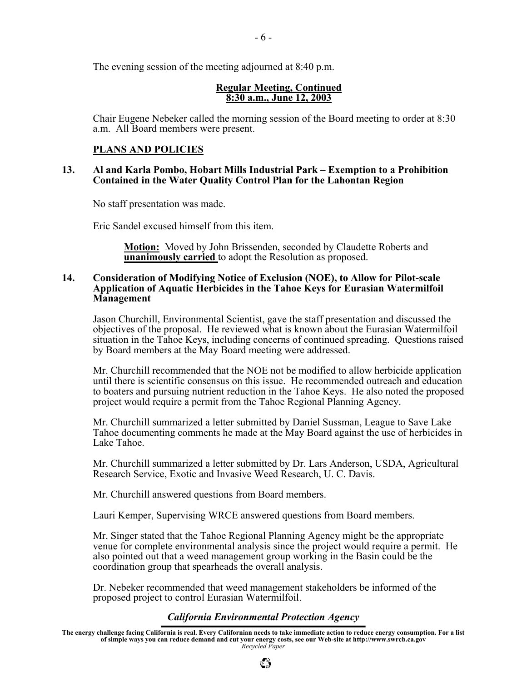The evening session of the meeting adjourned at 8:40 p.m.

#### **Regular Meeting, Continued 8:30 a.m., June 12, 2003**

Chair Eugene Nebeker called the morning session of the Board meeting to order at 8:30 a.m. All Board members were present.

## **PLANS AND POLICIES**

#### **13. Al and Karla Pombo, Hobart Mills Industrial Park – Exemption to a Prohibition Contained in the Water Quality Control Plan for the Lahontan Region**

No staff presentation was made.

Eric Sandel excused himself from this item.

**Motion:** Moved by John Brissenden, seconded by Claudette Roberts and **unanimously carried** to adopt the Resolution as proposed.

#### **14. Consideration of Modifying Notice of Exclusion (NOE), to Allow for Pilot-scale Application of Aquatic Herbicides in the Tahoe Keys for Eurasian Watermilfoil Management**

Jason Churchill, Environmental Scientist, gave the staff presentation and discussed the objectives of the proposal. He reviewed what is known about the Eurasian Watermilfoil situation in the Tahoe Keys, including concerns of continued spreading. Questions raised by Board members at the May Board meeting were addressed.

Mr. Churchill recommended that the NOE not be modified to allow herbicide application until there is scientific consensus on this issue. He recommended outreach and education to boaters and pursuing nutrient reduction in the Tahoe Keys. He also noted the proposed project would require a permit from the Tahoe Regional Planning Agency.

Mr. Churchill summarized a letter submitted by Daniel Sussman, League to Save Lake Tahoe documenting comments he made at the May Board against the use of herbicides in Lake Tahoe.

Mr. Churchill summarized a letter submitted by Dr. Lars Anderson, USDA, Agricultural Research Service, Exotic and Invasive Weed Research, U. C. Davis.

Mr. Churchill answered questions from Board members.

Lauri Kemper, Supervising WRCE answered questions from Board members.

Mr. Singer stated that the Tahoe Regional Planning Agency might be the appropriate venue for complete environmental analysis since the project would require a permit. He also pointed out that a weed management group working in the Basin could be the coordination group that spearheads the overall analysis.

Dr. Nebeker recommended that weed management stakeholders be informed of the proposed project to control Eurasian Watermilfoil.

### *California Environmental Protection Agency*

 $\mathbb{C}^{\infty}_{\mathcal{P}}$